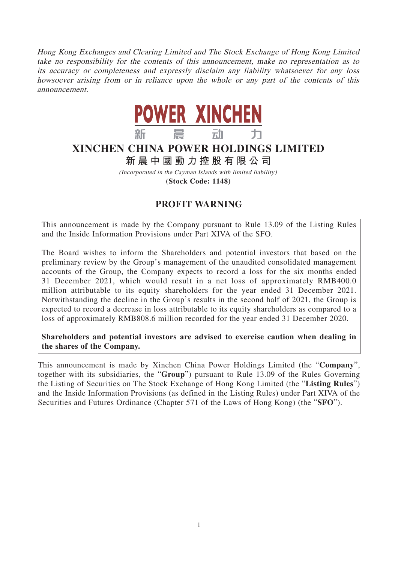Hong Kong Exchanges and Clearing Limited and The Stock Exchange of Hong Kong Limited take no responsibility for the contents of this announcement, make no representation as to its accuracy or completeness and expressly disclaim any liability whatsoever for any loss howsoever arising from or in reliance upon the whole or any part of the contents of this announcement.



## **XINCHEN CHINA POWER HOLDINGS LIMITED**

**新晨中國動力控股有限公 司**

(Incorporated in the Cayman Islands with limited liability) **(Stock Code: 1148)**

## **PROFIT WARNING**

This announcement is made by the Company pursuant to Rule 13.09 of the Listing Rules and the Inside Information Provisions under Part XIVA of the SFO.

The Board wishes to inform the Shareholders and potential investors that based on the preliminary review by the Group's management of the unaudited consolidated management accounts of the Group, the Company expects to record a loss for the six months ended 31 December 2021, which would result in a net loss of approximately RMB400.0 million attributable to its equity shareholders for the year ended 31 December 2021. Notwithstanding the decline in the Group's results in the second half of 2021, the Group is expected to record a decrease in loss attributable to its equity shareholders as compared to a loss of approximately RMB808.6 million recorded for the year ended 31 December 2020.

**Shareholders and potential investors are advised to exercise caution when dealing in the shares of the Company.**

This announcement is made by Xinchen China Power Holdings Limited (the "**Company**", together with its subsidiaries, the "**Group**") pursuant to Rule 13.09 of the Rules Governing the Listing of Securities on The Stock Exchange of Hong Kong Limited (the "**Listing Rules**") and the Inside Information Provisions (as defined in the Listing Rules) under Part XIVA of the Securities and Futures Ordinance (Chapter 571 of the Laws of Hong Kong) (the "**SFO**").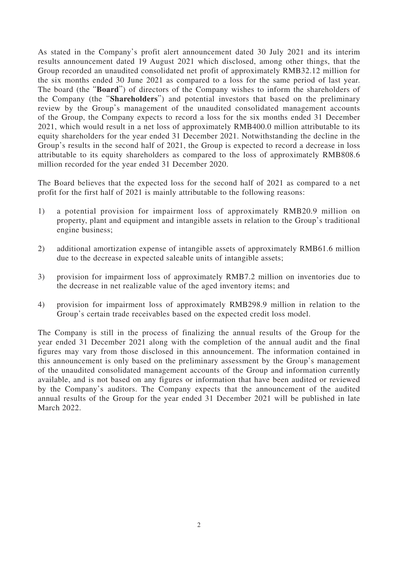As stated in the Company's profit alert announcement dated 30 July 2021 and its interim results announcement dated 19 August 2021 which disclosed, among other things, that the Group recorded an unaudited consolidated net profit of approximately RMB32.12 million for the six months ended 30 June 2021 as compared to a loss for the same period of last year. The board (the "**Board**") of directors of the Company wishes to inform the shareholders of the Company (the "**Shareholders**") and potential investors that based on the preliminary review by the Group's management of the unaudited consolidated management accounts of the Group, the Company expects to record a loss for the six months ended 31 December 2021, which would result in a net loss of approximately RMB400.0 million attributable to its equity shareholders for the year ended 31 December 2021. Notwithstanding the decline in the Group's results in the second half of 2021, the Group is expected to record a decrease in loss attributable to its equity shareholders as compared to the loss of approximately RMB808.6 million recorded for the year ended 31 December 2020.

The Board believes that the expected loss for the second half of 2021 as compared to a net profit for the first half of 2021 is mainly attributable to the following reasons:

- 1) a potential provision for impairment loss of approximately RMB20.9 million on property, plant and equipment and intangible assets in relation to the Group's traditional engine business;
- 2) additional amortization expense of intangible assets of approximately RMB61.6 million due to the decrease in expected saleable units of intangible assets;
- 3) provision for impairment loss of approximately RMB7.2 million on inventories due to the decrease in net realizable value of the aged inventory items; and
- 4) provision for impairment loss of approximately RMB298.9 million in relation to the Group's certain trade receivables based on the expected credit loss model.

The Company is still in the process of finalizing the annual results of the Group for the year ended 31 December 2021 along with the completion of the annual audit and the final figures may vary from those disclosed in this announcement. The information contained in this announcement is only based on the preliminary assessment by the Group's management of the unaudited consolidated management accounts of the Group and information currently available, and is not based on any figures or information that have been audited or reviewed by the Company's auditors. The Company expects that the announcement of the audited annual results of the Group for the year ended 31 December 2021 will be published in late March 2022